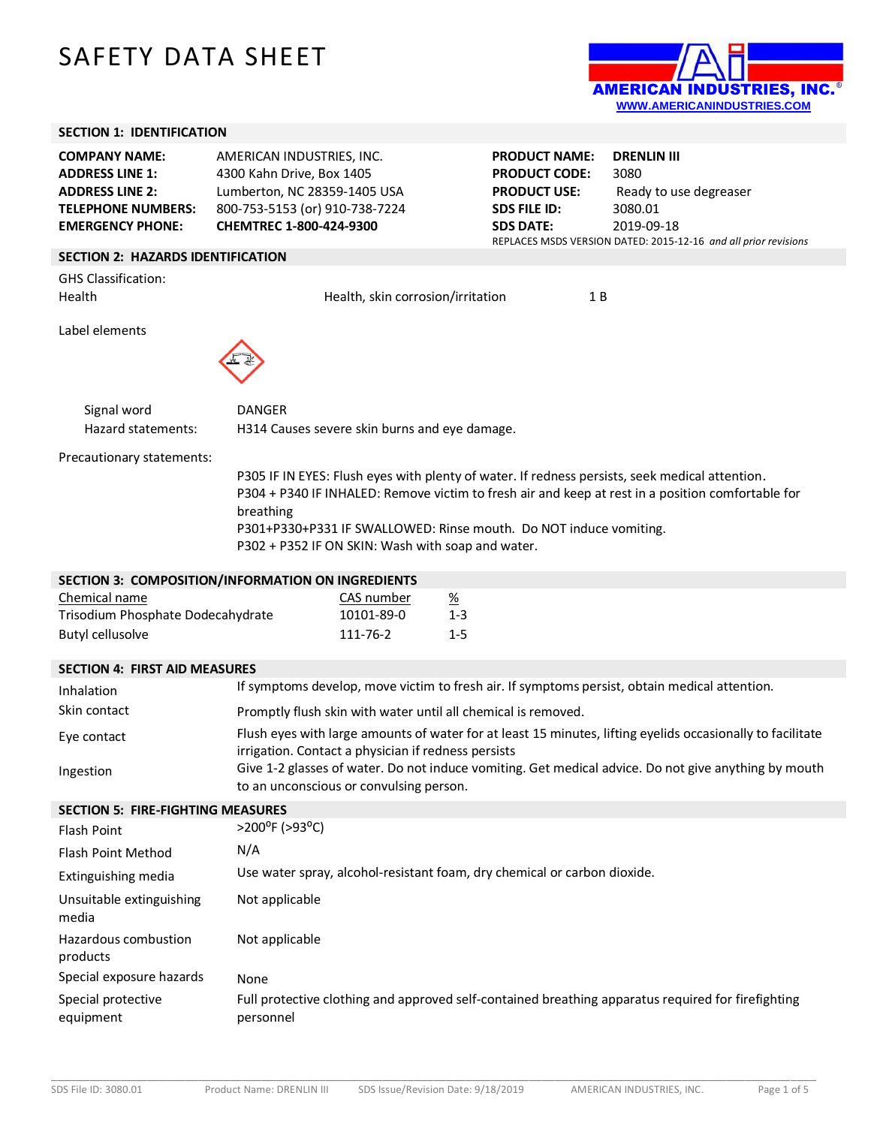# SAFETY DATA SHEET



## **SECTION 1: IDENTIFICATION**

| <b>EMERGENCY PHONE:</b>   | CHEMTREC 1-800-424-9300        |
|---------------------------|--------------------------------|
| <b>TELEPHONE NUMBERS:</b> | 800-753-5153 (or) 910-738-7224 |
| <b>ADDRESS LINE 2:</b>    | Lumberton, NC 28359-1405 USA   |
| <b>ADDRESS LINE 1:</b>    | 4300 Kahn Drive, Box 1405      |
| <b>COMPANY NAME:</b>      | AMERICAN INDUSTRIES, INC.      |

**PRODUCT NAME: DRENLIN III PRODUCT CODE:** 3080 **PRODUCT USE:** Ready to use degreaser **SDS FILE ID:** 3080.01 **SDS DATE:** 2019-09-18 REPLACES MSDS VERSION DATED: 2015-12-16 *and all prior revisions*

# **SECTION 2: HAZARDS IDENTIFICATION**

GHS Classification:

Health **Health** Health, skin corrosion/irritation 1 B

Label elements



Signal word DANGER Hazard statements: H314 Causes severe skin burns and eye damage.

Precautionary statements:

P305 IF IN EYES: Flush eyes with plenty of water. If redness persists, seek medical attention. P304 + P340 IF INHALED: Remove victim to fresh air and keep at rest in a position comfortable for breathing P301+P330+P331 IF SWALLOWED: Rinse mouth. Do NOT induce vomiting. P302 + P352 IF ON SKIN: Wash with soap and water.

| SECTION 3: COMPOSITION/INFORMATION ON INGREDIENTS |            |                       |  |
|---------------------------------------------------|------------|-----------------------|--|
| Chemical name                                     | CAS number | $\frac{\%}{\sqrt{2}}$ |  |
| Trisodium Phosphate Dodecahydrate                 | 10101-89-0 | $1 - 3$               |  |
| Butyl cellusolve                                  | 111-76-2   | 1-5                   |  |

#### **SECTION 4: FIRST AID MEASURES**

| Inhalation   | If symptoms develop, move victim to fresh air. If symptoms persist, obtain medical attention.                                                                     |
|--------------|-------------------------------------------------------------------------------------------------------------------------------------------------------------------|
| Skin contact | Promptly flush skin with water until all chemical is removed.                                                                                                     |
| Eye contact  | Flush eyes with large amounts of water for at least 15 minutes, lifting eyelids occasionally to facilitate<br>irrigation. Contact a physician if redness persists |
| Ingestion    | Give 1-2 glasses of water. Do not induce vomiting. Get medical advice. Do not give anything by mouth<br>to an unconscious or convulsing person.                   |

#### **SECTION 5: FIRE-FIGHTING MEASURES**

| <u>JLCTIVI) J. TIINE TIULITIINU IVILAJUNLJ</u> |                                                                                                                 |
|------------------------------------------------|-----------------------------------------------------------------------------------------------------------------|
| <b>Flash Point</b>                             | $>$ 200 <sup>o</sup> F ( $>$ 93 <sup>o</sup> C)                                                                 |
| Flash Point Method                             | N/A                                                                                                             |
| Extinguishing media                            | Use water spray, alcohol-resistant foam, dry chemical or carbon dioxide.                                        |
| Unsuitable extinguishing<br>media              | Not applicable                                                                                                  |
| Hazardous combustion<br>products               | Not applicable                                                                                                  |
| Special exposure hazards                       | None                                                                                                            |
| Special protective<br>equipment                | Full protective clothing and approved self-contained breathing apparatus required for firefighting<br>personnel |

\_\_\_\_\_\_\_\_\_\_\_\_\_\_\_\_\_\_\_\_\_\_\_\_\_\_\_\_\_\_\_\_\_\_\_\_\_\_\_\_\_\_\_\_\_\_\_\_\_\_\_\_\_\_\_\_\_\_\_\_\_\_\_\_\_\_\_\_\_\_\_\_\_\_\_\_\_\_\_\_\_\_\_\_\_\_\_\_\_\_\_\_\_\_\_\_\_\_\_\_\_\_\_\_\_\_\_\_\_\_\_\_\_\_\_\_\_\_\_\_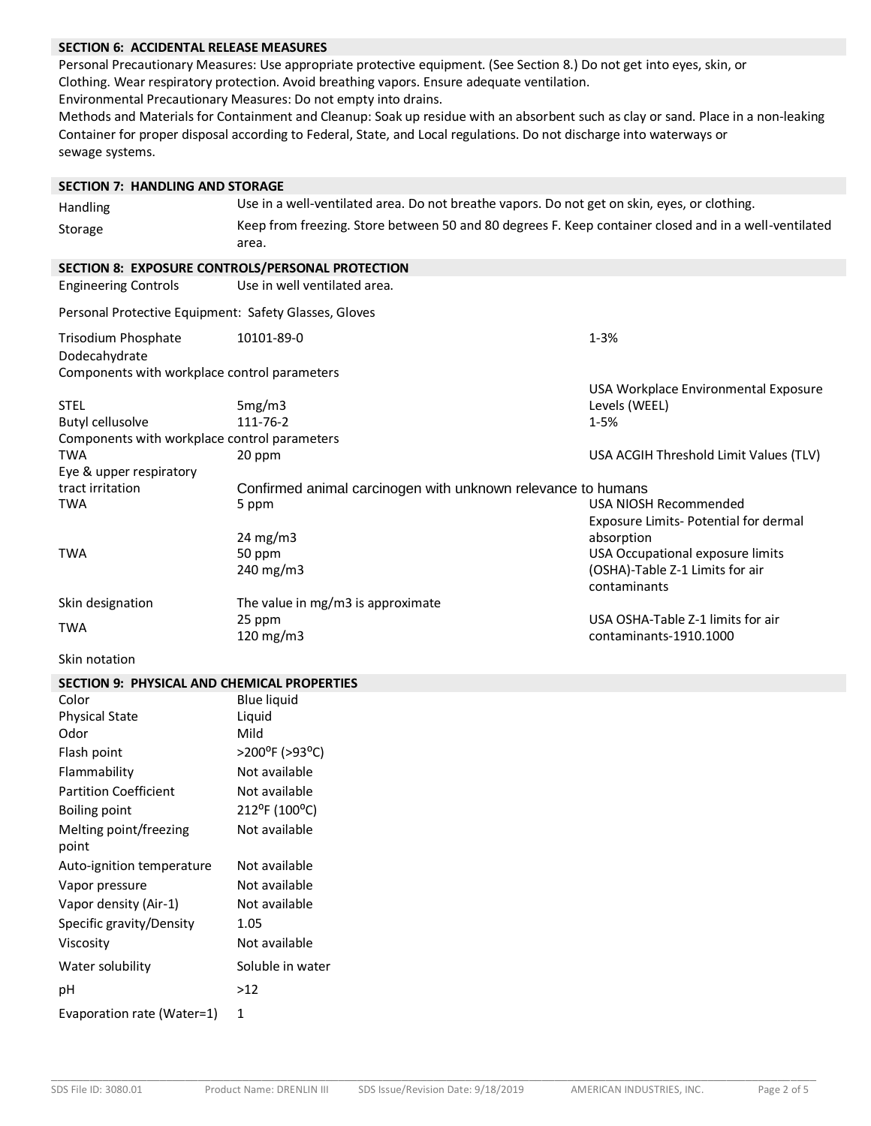# **SECTION 6: ACCIDENTAL RELEASE MEASURES**

Personal Precautionary Measures: Use appropriate protective equipment. (See Section 8.) Do not get into eyes, skin, or Clothing. Wear respiratory protection. Avoid breathing vapors. Ensure adequate ventilation.

Environmental Precautionary Measures: Do not empty into drains.

Methods and Materials for Containment and Cleanup: Soak up residue with an absorbent such as clay or sand. Place in a non-leaking Container for proper disposal according to Federal, State, and Local regulations. Do not discharge into waterways or sewage systems.**7**

| <b>SECTION 7: HANDLING AND STORAGE</b>                |                                                                                                                |                                                                |
|-------------------------------------------------------|----------------------------------------------------------------------------------------------------------------|----------------------------------------------------------------|
| Handling                                              | Use in a well-ventilated area. Do not breathe vapors. Do not get on skin, eyes, or clothing.                   |                                                                |
| Storage                                               | Keep from freezing. Store between 50 and 80 degrees F. Keep container closed and in a well-ventilated<br>area. |                                                                |
| SECTION 8: EXPOSURE CONTROLS/PERSONAL PROTECTION      |                                                                                                                |                                                                |
| <b>Engineering Controls</b>                           | Use in well ventilated area.                                                                                   |                                                                |
| Personal Protective Equipment: Safety Glasses, Gloves |                                                                                                                |                                                                |
| Trisodium Phosphate<br>Dodecahydrate                  | 10101-89-0                                                                                                     | $1 - 3%$                                                       |
| Components with workplace control parameters          |                                                                                                                |                                                                |
| <b>STEL</b>                                           | 5mg/m3                                                                                                         | USA Workplace Environmental Exposure<br>Levels (WEEL)          |
| <b>Butyl cellusolve</b>                               | 111-76-2                                                                                                       | 1-5%                                                           |
| Components with workplace control parameters          |                                                                                                                |                                                                |
| <b>TWA</b>                                            | 20 ppm                                                                                                         | USA ACGIH Threshold Limit Values (TLV)                         |
| Eye & upper respiratory                               |                                                                                                                |                                                                |
| tract irritation                                      | Confirmed animal carcinogen with unknown relevance to humans                                                   |                                                                |
| <b>TWA</b>                                            | 5 ppm                                                                                                          | USA NIOSH Recommended<br>Exposure Limits- Potential for dermal |
|                                                       | $24 \text{ mg/m}$                                                                                              | absorption                                                     |
| <b>TWA</b>                                            | 50 ppm                                                                                                         | USA Occupational exposure limits                               |
|                                                       | 240 mg/m3                                                                                                      | (OSHA)-Table Z-1 Limits for air                                |
|                                                       |                                                                                                                | contaminants                                                   |
| Skin designation                                      | The value in mg/m3 is approximate                                                                              |                                                                |
| <b>TWA</b>                                            | 25 ppm<br>120 mg/m3                                                                                            | USA OSHA-Table Z-1 limits for air<br>contaminants-1910.1000    |
| Skin notation                                         |                                                                                                                |                                                                |
| <b>SECTION 9: PHYSICAL AND CHEMICAL PROPERTIES</b>    |                                                                                                                |                                                                |
| Color                                                 | <b>Blue liquid</b>                                                                                             |                                                                |
| <b>Physical State</b>                                 | Liquid                                                                                                         |                                                                |
| Odor                                                  | Mild                                                                                                           |                                                                |
| Flash point                                           | >200°F (>93°C)                                                                                                 |                                                                |
| Flammability                                          | Not available                                                                                                  |                                                                |
| <b>Partition Coefficient</b>                          | Not available                                                                                                  |                                                                |
| Boiling point                                         | 212°F (100°C)                                                                                                  |                                                                |
| Melting point/freezing                                | Not available                                                                                                  |                                                                |
| point                                                 |                                                                                                                |                                                                |
| Auto-ignition temperature                             | Not available                                                                                                  |                                                                |
| Vapor pressure                                        | Not available                                                                                                  |                                                                |
| Vapor density (Air-1)                                 | Not available                                                                                                  |                                                                |
| Specific gravity/Density                              | 1.05                                                                                                           |                                                                |
| Viscosity                                             | Not available                                                                                                  |                                                                |
| Water solubility                                      | Soluble in water                                                                                               |                                                                |
| рH                                                    | $>12$                                                                                                          |                                                                |
| Evaporation rate (Water=1)                            | 1                                                                                                              |                                                                |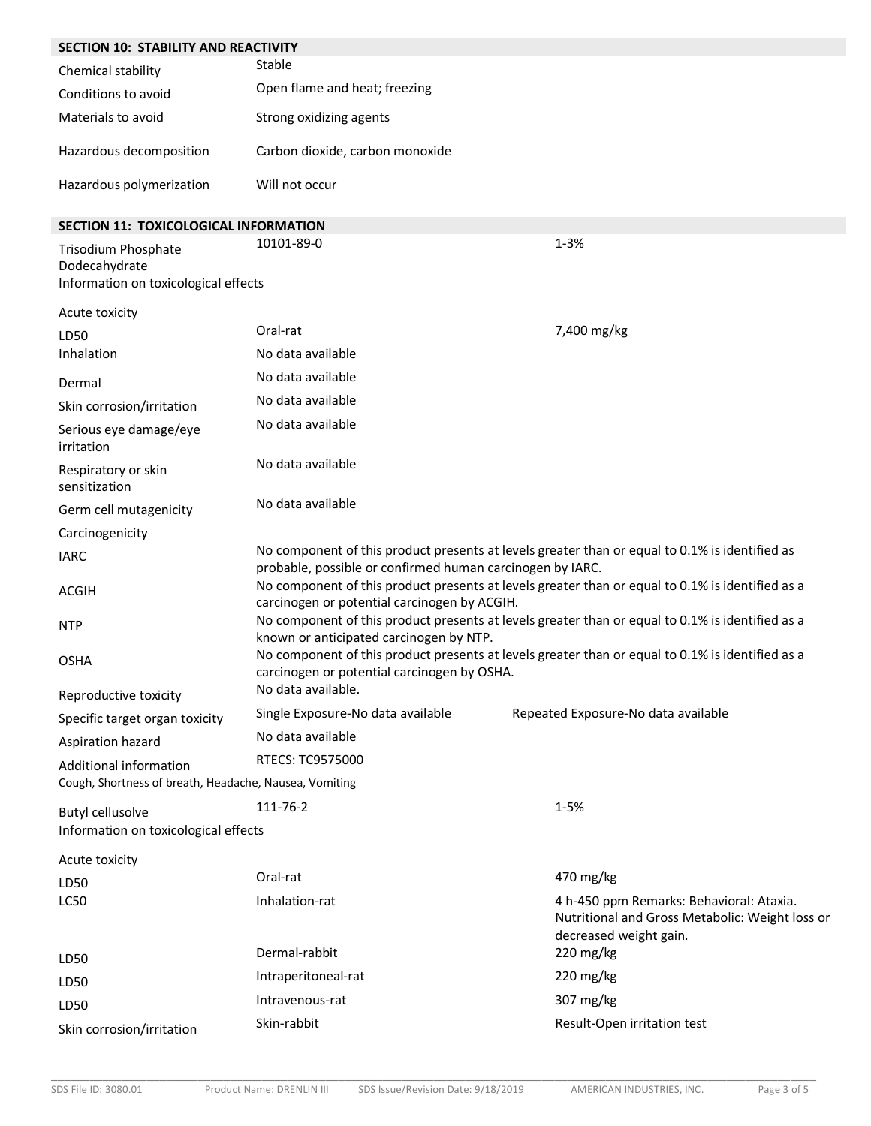| <b>SECTION 10: STABILITY AND REACTIVITY</b>                                  |                                                                                                                                                             |                                                                                                                       |
|------------------------------------------------------------------------------|-------------------------------------------------------------------------------------------------------------------------------------------------------------|-----------------------------------------------------------------------------------------------------------------------|
| Chemical stability                                                           | Stable                                                                                                                                                      |                                                                                                                       |
| Conditions to avoid                                                          | Open flame and heat; freezing                                                                                                                               |                                                                                                                       |
| Materials to avoid                                                           | Strong oxidizing agents                                                                                                                                     |                                                                                                                       |
| Hazardous decomposition                                                      | Carbon dioxide, carbon monoxide                                                                                                                             |                                                                                                                       |
| Hazardous polymerization                                                     | Will not occur                                                                                                                                              |                                                                                                                       |
| <b>SECTION 11: TOXICOLOGICAL INFORMATION</b>                                 |                                                                                                                                                             |                                                                                                                       |
| Trisodium Phosphate<br>Dodecahydrate<br>Information on toxicological effects | 10101-89-0                                                                                                                                                  | $1 - 3%$                                                                                                              |
| Acute toxicity                                                               |                                                                                                                                                             |                                                                                                                       |
| LD50                                                                         | Oral-rat                                                                                                                                                    | 7,400 mg/kg                                                                                                           |
| Inhalation                                                                   | No data available                                                                                                                                           |                                                                                                                       |
| Dermal                                                                       | No data available                                                                                                                                           |                                                                                                                       |
| Skin corrosion/irritation                                                    | No data available                                                                                                                                           |                                                                                                                       |
| Serious eye damage/eye<br>irritation                                         | No data available                                                                                                                                           |                                                                                                                       |
| Respiratory or skin<br>sensitization                                         | No data available                                                                                                                                           |                                                                                                                       |
| Germ cell mutagenicity                                                       | No data available                                                                                                                                           |                                                                                                                       |
| Carcinogenicity                                                              |                                                                                                                                                             |                                                                                                                       |
| <b>IARC</b>                                                                  | No component of this product presents at levels greater than or equal to 0.1% is identified as<br>probable, possible or confirmed human carcinogen by IARC. |                                                                                                                       |
| <b>ACGIH</b>                                                                 | No component of this product presents at levels greater than or equal to 0.1% is identified as a<br>carcinogen or potential carcinogen by ACGIH.            |                                                                                                                       |
| <b>NTP</b>                                                                   | No component of this product presents at levels greater than or equal to 0.1% is identified as a<br>known or anticipated carcinogen by NTP.                 |                                                                                                                       |
| <b>OSHA</b>                                                                  | No component of this product presents at levels greater than or equal to 0.1% is identified as a<br>carcinogen or potential carcinogen by OSHA.             |                                                                                                                       |
| Reproductive toxicity                                                        | No data available.                                                                                                                                          |                                                                                                                       |
| Specific target organ toxicity                                               | Single Exposure-No data available                                                                                                                           | Repeated Exposure-No data available                                                                                   |
| Aspiration hazard                                                            | No data available                                                                                                                                           |                                                                                                                       |
| Additional information                                                       | RTECS: TC9575000                                                                                                                                            |                                                                                                                       |
| Cough, Shortness of breath, Headache, Nausea, Vomiting                       |                                                                                                                                                             |                                                                                                                       |
| <b>Butyl cellusolve</b>                                                      | 111-76-2                                                                                                                                                    | $1 - 5%$                                                                                                              |
| Information on toxicological effects                                         |                                                                                                                                                             |                                                                                                                       |
| Acute toxicity                                                               |                                                                                                                                                             |                                                                                                                       |
| LD50                                                                         | Oral-rat                                                                                                                                                    | 470 mg/kg                                                                                                             |
| LC50                                                                         | Inhalation-rat                                                                                                                                              | 4 h-450 ppm Remarks: Behavioral: Ataxia.<br>Nutritional and Gross Metabolic: Weight loss or<br>decreased weight gain. |
| LD50                                                                         | Dermal-rabbit                                                                                                                                               | 220 mg/kg                                                                                                             |
| LD50                                                                         | Intraperitoneal-rat                                                                                                                                         | 220 mg/kg                                                                                                             |
| LD50                                                                         | Intravenous-rat                                                                                                                                             | 307 mg/kg                                                                                                             |
| Skin corrosion/irritation                                                    | Skin-rabbit                                                                                                                                                 | Result-Open irritation test                                                                                           |

\_\_\_\_\_\_\_\_\_\_\_\_\_\_\_\_\_\_\_\_\_\_\_\_\_\_\_\_\_\_\_\_\_\_\_\_\_\_\_\_\_\_\_\_\_\_\_\_\_\_\_\_\_\_\_\_\_\_\_\_\_\_\_\_\_\_\_\_\_\_\_\_\_\_\_\_\_\_\_\_\_\_\_\_\_\_\_\_\_\_\_\_\_\_\_\_\_\_\_\_\_\_\_\_\_\_\_\_\_\_\_\_\_\_\_\_\_\_\_\_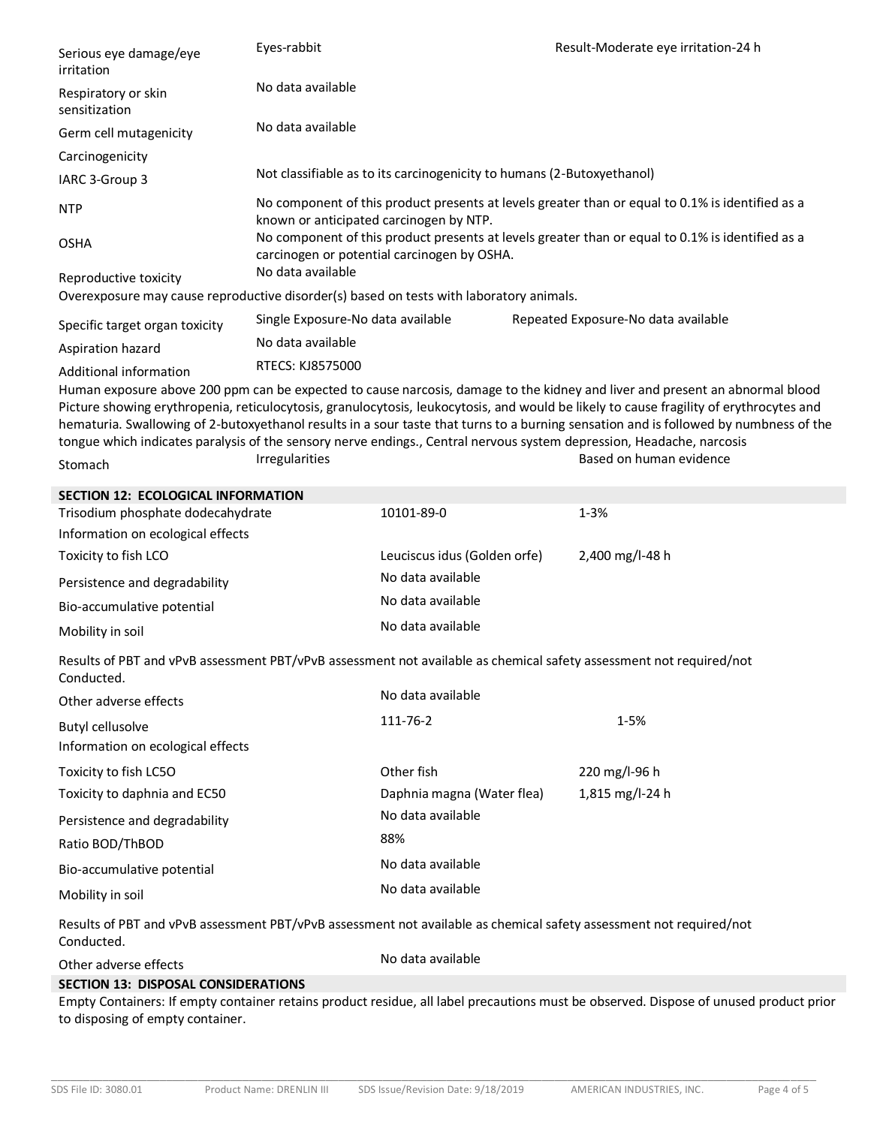| Serious eye damage/eye<br>irritation                                                                                              | Eyes-rabbit                                                                                                                                     |                                                                        |  | Result-Moderate eye irritation-24 h                                                                                                                                                                                                                                                                                                                                                                              |
|-----------------------------------------------------------------------------------------------------------------------------------|-------------------------------------------------------------------------------------------------------------------------------------------------|------------------------------------------------------------------------|--|------------------------------------------------------------------------------------------------------------------------------------------------------------------------------------------------------------------------------------------------------------------------------------------------------------------------------------------------------------------------------------------------------------------|
| Respiratory or skin<br>sensitization                                                                                              | No data available                                                                                                                               |                                                                        |  |                                                                                                                                                                                                                                                                                                                                                                                                                  |
| Germ cell mutagenicity                                                                                                            | No data available                                                                                                                               |                                                                        |  |                                                                                                                                                                                                                                                                                                                                                                                                                  |
| Carcinogenicity                                                                                                                   |                                                                                                                                                 |                                                                        |  |                                                                                                                                                                                                                                                                                                                                                                                                                  |
| IARC 3-Group 3                                                                                                                    |                                                                                                                                                 | Not classifiable as to its carcinogenicity to humans (2-Butoxyethanol) |  |                                                                                                                                                                                                                                                                                                                                                                                                                  |
| <b>NTP</b>                                                                                                                        | known or anticipated carcinogen by NTP.                                                                                                         |                                                                        |  | No component of this product presents at levels greater than or equal to 0.1% is identified as a                                                                                                                                                                                                                                                                                                                 |
| <b>OSHA</b>                                                                                                                       | No component of this product presents at levels greater than or equal to 0.1% is identified as a<br>carcinogen or potential carcinogen by OSHA. |                                                                        |  |                                                                                                                                                                                                                                                                                                                                                                                                                  |
| Reproductive toxicity                                                                                                             | No data available                                                                                                                               |                                                                        |  |                                                                                                                                                                                                                                                                                                                                                                                                                  |
| Overexposure may cause reproductive disorder(s) based on tests with laboratory animals.                                           |                                                                                                                                                 |                                                                        |  |                                                                                                                                                                                                                                                                                                                                                                                                                  |
| Specific target organ toxicity                                                                                                    | Single Exposure-No data available                                                                                                               |                                                                        |  | Repeated Exposure-No data available                                                                                                                                                                                                                                                                                                                                                                              |
| Aspiration hazard                                                                                                                 | No data available                                                                                                                               |                                                                        |  |                                                                                                                                                                                                                                                                                                                                                                                                                  |
| Additional information                                                                                                            | RTECS: KJ8575000                                                                                                                                |                                                                        |  |                                                                                                                                                                                                                                                                                                                                                                                                                  |
| tongue which indicates paralysis of the sensory nerve endings., Central nervous system depression, Headache, narcosis             |                                                                                                                                                 |                                                                        |  | Human exposure above 200 ppm can be expected to cause narcosis, damage to the kidney and liver and present an abnormal blood<br>Picture showing erythropenia, reticulocytosis, granulocytosis, leukocytosis, and would be likely to cause fragility of erythrocytes and<br>hematuria. Swallowing of 2-butoxyethanol results in a sour taste that turns to a burning sensation and is followed by numbness of the |
| Stomach                                                                                                                           | Irregularities                                                                                                                                  |                                                                        |  | Based on human evidence                                                                                                                                                                                                                                                                                                                                                                                          |
| <b>SECTION 12: ECOLOGICAL INFORMATION</b>                                                                                         |                                                                                                                                                 |                                                                        |  |                                                                                                                                                                                                                                                                                                                                                                                                                  |
| Trisodium phosphate dodecahydrate                                                                                                 |                                                                                                                                                 | 10101-89-0                                                             |  | $1 - 3%$                                                                                                                                                                                                                                                                                                                                                                                                         |
| Information on ecological effects                                                                                                 |                                                                                                                                                 |                                                                        |  |                                                                                                                                                                                                                                                                                                                                                                                                                  |
| Toxicity to fish LCO                                                                                                              |                                                                                                                                                 | Leuciscus idus (Golden orfe)                                           |  | 2,400 mg/l-48 h                                                                                                                                                                                                                                                                                                                                                                                                  |
| Persistence and degradability                                                                                                     |                                                                                                                                                 | No data available                                                      |  |                                                                                                                                                                                                                                                                                                                                                                                                                  |
| Bio-accumulative potential                                                                                                        |                                                                                                                                                 | No data available                                                      |  |                                                                                                                                                                                                                                                                                                                                                                                                                  |
| Mobility in soil                                                                                                                  |                                                                                                                                                 | No data available                                                      |  |                                                                                                                                                                                                                                                                                                                                                                                                                  |
| Results of PBT and vPvB assessment PBT/vPvB assessment not available as chemical safety assessment not required/not<br>Conducted. |                                                                                                                                                 |                                                                        |  |                                                                                                                                                                                                                                                                                                                                                                                                                  |
| Other adverse effects                                                                                                             |                                                                                                                                                 | No data available                                                      |  |                                                                                                                                                                                                                                                                                                                                                                                                                  |
| <b>Butyl cellusolve</b>                                                                                                           |                                                                                                                                                 | 111-76-2                                                               |  | $1 - 5%$                                                                                                                                                                                                                                                                                                                                                                                                         |
| Information on ecological effects                                                                                                 |                                                                                                                                                 |                                                                        |  |                                                                                                                                                                                                                                                                                                                                                                                                                  |
| Toxicity to fish LC5O                                                                                                             |                                                                                                                                                 | Other fish                                                             |  | 220 mg/l-96 h                                                                                                                                                                                                                                                                                                                                                                                                    |
| Toxicity to daphnia and EC50                                                                                                      |                                                                                                                                                 | Daphnia magna (Water flea)                                             |  | 1,815 mg/l-24 h                                                                                                                                                                                                                                                                                                                                                                                                  |
| Persistence and degradability                                                                                                     |                                                                                                                                                 | No data available                                                      |  |                                                                                                                                                                                                                                                                                                                                                                                                                  |
| Ratio BOD/ThBOD                                                                                                                   |                                                                                                                                                 | 88%                                                                    |  |                                                                                                                                                                                                                                                                                                                                                                                                                  |
| Bio-accumulative potential                                                                                                        |                                                                                                                                                 | No data available                                                      |  |                                                                                                                                                                                                                                                                                                                                                                                                                  |
| Mobility in soil                                                                                                                  |                                                                                                                                                 | No data available                                                      |  |                                                                                                                                                                                                                                                                                                                                                                                                                  |
| Results of PBT and vPvB assessment PBT/vPvB assessment not available as chemical safety assessment not required/not<br>Conducted. |                                                                                                                                                 |                                                                        |  |                                                                                                                                                                                                                                                                                                                                                                                                                  |
| Other adverse effects                                                                                                             |                                                                                                                                                 | No data available                                                      |  |                                                                                                                                                                                                                                                                                                                                                                                                                  |
| <b>SECTION 13: DISPOSAL CONSIDERATIONS</b>                                                                                        |                                                                                                                                                 |                                                                        |  |                                                                                                                                                                                                                                                                                                                                                                                                                  |
| to disposing of empty container.                                                                                                  |                                                                                                                                                 |                                                                        |  | Empty Containers: If empty container retains product residue, all label precautions must be observed. Dispose of unused product prior                                                                                                                                                                                                                                                                            |

\_\_\_\_\_\_\_\_\_\_\_\_\_\_\_\_\_\_\_\_\_\_\_\_\_\_\_\_\_\_\_\_\_\_\_\_\_\_\_\_\_\_\_\_\_\_\_\_\_\_\_\_\_\_\_\_\_\_\_\_\_\_\_\_\_\_\_\_\_\_\_\_\_\_\_\_\_\_\_\_\_\_\_\_\_\_\_\_\_\_\_\_\_\_\_\_\_\_\_\_\_\_\_\_\_\_\_\_\_\_\_\_\_\_\_\_\_\_\_\_